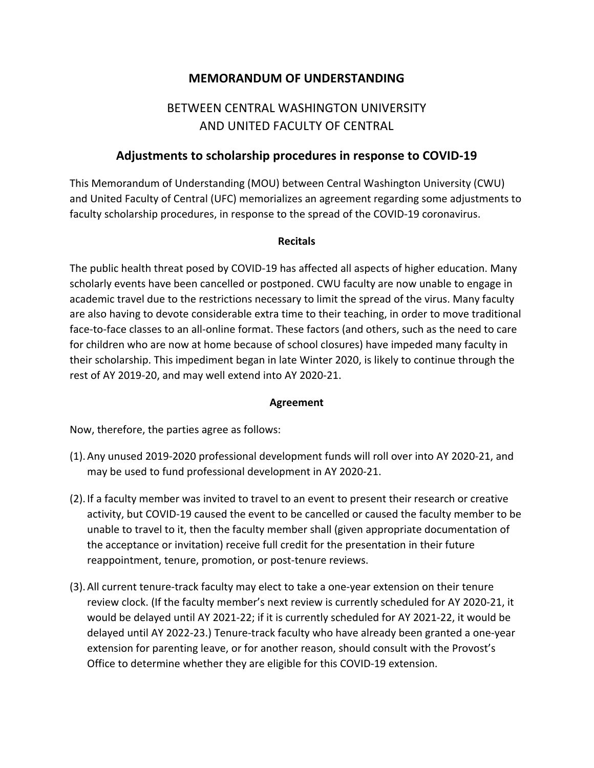## **MEMORANDUM OF UNDERSTANDING**

# BETWEEN CENTRAL WASHINGTON UNIVERSITY AND UNITED FACULTY OF CENTRAL

### **Adjustments to scholarship procedures in response to COVID-19**

This Memorandum of Understanding (MOU) between Central Washington University (CWU) and United Faculty of Central (UFC) memorializes an agreement regarding some adjustments to faculty scholarship procedures, in response to the spread of the COVID-19 coronavirus.

#### **Recitals**

The public health threat posed by COVID-19 has affected all aspects of higher education. Many scholarly events have been cancelled or postponed. CWU faculty are now unable to engage in academic travel due to the restrictions necessary to limit the spread of the virus. Many faculty are also having to devote considerable extra time to their teaching, in order to move traditional face-to-face classes to an all-online format. These factors (and others, such as the need to care for children who are now at home because of school closures) have impeded many faculty in their scholarship. This impediment began in late Winter 2020, is likely to continue through the rest of AY 2019-20, and may well extend into AY 2020-21.

#### **Agreement**

Now, therefore, the parties agree as follows:

- (1).Any unused 2019-2020 professional development funds will roll over into AY 2020-21, and may be used to fund professional development in AY 2020-21.
- (2). If a faculty member was invited to travel to an event to present their research or creative activity, but COVID-19 caused the event to be cancelled or caused the faculty member to be unable to travel to it, then the faculty member shall (given appropriate documentation of the acceptance or invitation) receive full credit for the presentation in their future reappointment, tenure, promotion, or post-tenure reviews.
- (3).All current tenure-track faculty may elect to take a one-year extension on their tenure review clock. (If the faculty member's next review is currently scheduled for AY 2020-21, it would be delayed until AY 2021-22; if it is currently scheduled for AY 2021-22, it would be delayed until AY 2022-23.) Tenure-track faculty who have already been granted a one-year extension for parenting leave, or for another reason, should consult with the Provost's Office to determine whether they are eligible for this COVID-19 extension.